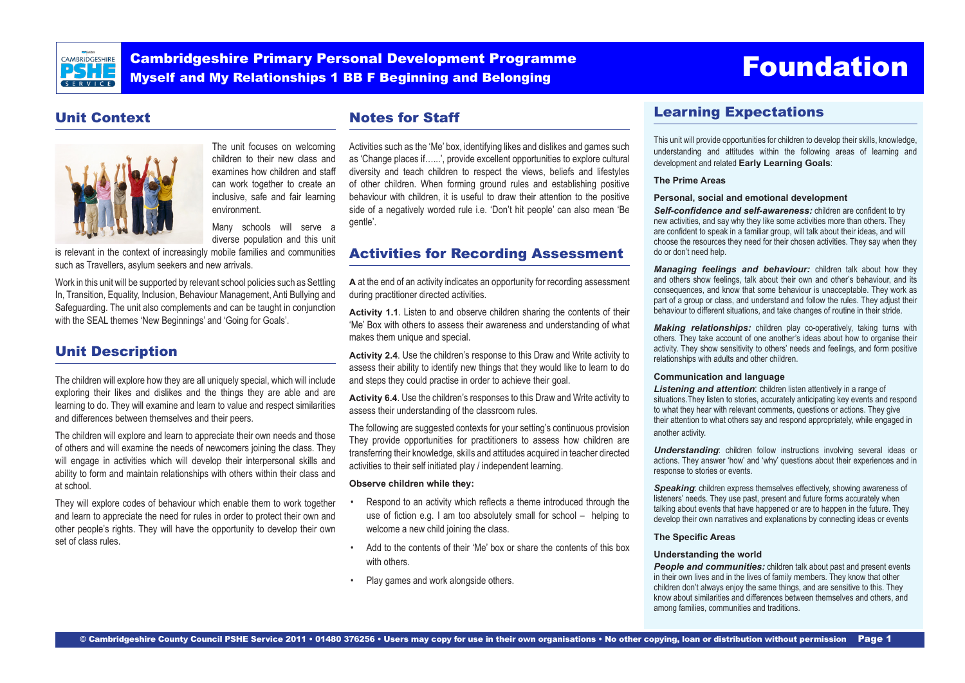

Cambridgeshire Primary Personal Development Programme Cambridgeshire Primary Personal Development Programme<br>Myself and My Relationships 1 BB F Beginning and Belonging **Foundation** 

#### Unit Context



The unit focuses on welcoming children to their new class and examines how children and staff can work together to create an inclusive, safe and fair learning environment.

Many schools will serve a diverse population and this unit

is relevant in the context of increasingly mobile families and communities such as Travellers, asylum seekers and new arrivals.

Work in this unit will be supported by relevant school policies such as Settling In, Transition, Equality, Inclusion, Behaviour Management, Anti Bullying and Safeguarding. The unit also complements and can be taught in conjunction with the SEAL themes 'New Beginnings' and 'Going for Goals'.

#### Unit Description

The children will explore how they are all uniquely special, which will include exploring their likes and dislikes and the things they are able and are learning to do. They will examine and learn to value and respect similarities and differences between themselves and their peers.

The children will explore and learn to appreciate their own needs and those of others and will examine the needs of newcomers joining the class. They will engage in activities which will develop their interpersonal skills and ability to form and maintain relationships with others within their class and at school.

They will explore codes of behaviour which enable them to work together and learn to appreciate the need for rules in order to protect their own and other people's rights. They will have the opportunity to develop their own set of class rules.

#### Notes for Staff

Activities such as the 'Me' box, identifying likes and dislikes and games such as 'Change places if…...', provide excellent opportunities to explore cultural diversity and teach children to respect the views, beliefs and lifestyles of other children. When forming ground rules and establishing positive behaviour with children, it is useful to draw their attention to the positive side of a negatively worded rule i.e. 'Don't hit people' can also mean 'Be gentle'.

#### Activities for Recording Assessment

**A** at the end of an activity indicates an opportunity for recording assessment during practitioner directed activities.

**Activity 1.1**. Listen to and observe children sharing the contents of their 'Me' Box with others to assess their awareness and understanding of what makes them unique and special.

**Activity 2.4**. Use the children's response to this Draw and Write activity to assess their ability to identify new things that they would like to learn to do and steps they could practise in order to achieve their goal.

**Activity 6.4**. Use the children's responses to this Draw and Write activity to assess their understanding of the classroom rules.

The following are suggested contexts for your setting's continuous provision They provide opportunities for practitioners to assess how children are transferring their knowledge, skills and attitudes acquired in teacher directed activities to their self initiated play / independent learning.

#### **Observe children while they:**

- Respond to an activity which reflects a theme introduced through the use of fiction e.g. I am too absolutely small for school – helping to welcome a new child joining the class.
- • Add to the contents of their 'Me' box or share the contents of this box with others.
- • Play games and work alongside others.

#### Learning Expectations

This unit will provide opportunities for children to develop their skills, knowledge, understanding and attitudes within the following areas of learning and development and related **Early Learning Goals**:

#### **The Prime Areas**

#### **Personal, social and emotional development**

*Self-confidence and self-awareness:* children are confident to try new activities, and say why they like some activities more than others. They are confident to speak in a familiar group, will talk about their ideas, and will choose the resources they need for their chosen activities. They say when they do or don't need help.

*Managing feelings and behaviour:* children talk about how they and others show feelings, talk about their own and other's behaviour, and its consequences, and know that some behaviour is unacceptable. They work as part of a group or class, and understand and follow the rules. They adjust their behaviour to different situations, and take changes of routine in their stride.

*Making relationships:* children play co-operatively, taking turns with others. They take account of one another's ideas about how to organise their activity. They show sensitivity to others' needs and feelings, and form positive relationships with adults and other children.

#### **Communication and language**

*Listening and attention*: children listen attentively in a range of situations.They listen to stories, accurately anticipating key events and respond to what they hear with relevant comments, questions or actions. They give their attention to what others say and respond appropriately, while engaged in another activity.

*Understanding*: children follow instructions involving several ideas or actions. They answer 'how' and 'why' questions about their experiences and in response to stories or events.

**Speaking:** children express themselves effectively, showing awareness of listeners' needs. They use past, present and future forms accurately when talking about events that have happened or are to happen in the future. They develop their own narratives and explanations by connecting ideas or events

#### **The Specific Areas**

#### **Understanding the world**

**People and communities:** children talk about past and present events in their own lives and in the lives of family members. They know that other children don't always enjoy the same things, and are sensitive to this. They know about similarities and differences between themselves and others, and among families, communities and traditions.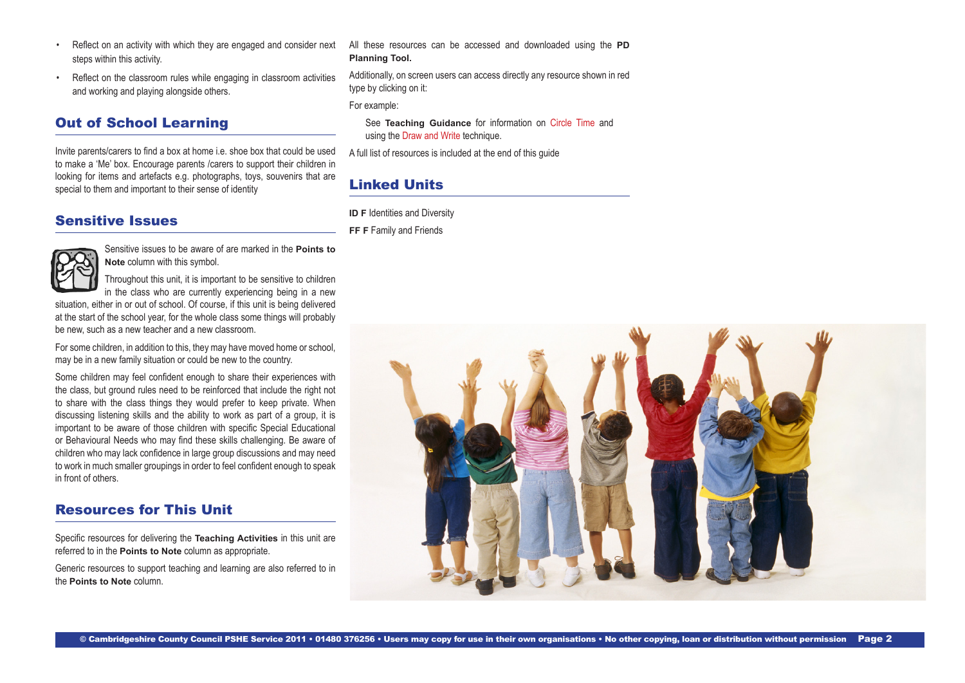- • Reflect on an activity with which they are engaged and consider next steps within this activity.
- • Reflect on the classroom rules while engaging in classroom activities and working and playing alongside others.

#### Out of School Learning

Invite parents/carers to find a box at home i.e. shoe box that could be used to make a 'Me' box. Encourage parents /carers to support their children in looking for items and artefacts e.g. photographs, toys, souvenirs that are special to them and important to their sense of identity

#### Sensitive Issues



Sensitive issues to be aware of are marked in the **Points to Note** column with this symbol.

Throughout this unit, it is important to be sensitive to children in the class who are currently experiencing being in a new

situation, either in or out of school. Of course, if this unit is being delivered at the start of the school year, for the whole class some things will probably be new, such as a new teacher and a new classroom.

For some children, in addition to this, they may have moved home or school, may be in a new family situation or could be new to the country.

Some children may feel confident enough to share their experiences with the class, but ground rules need to be reinforced that include the right not to share with the class things they would prefer to keep private. When discussing listening skills and the ability to work as part of a group, it is important to be aware of those children with specific Special Educational or Behavioural Needs who may find these skills challenging. Be aware of children who may lack confidence in large group discussions and may need to work in much smaller groupings in order to feel confident enough to speak in front of others.

#### Resources for This Unit

Specific resources for delivering the **Teaching Activities** in this unit are referred to in the **Points to Note** column as appropriate.

Generic resources to support teaching and learning are also referred to in the **Points to Note** column.

All these resources can be accessed and downloaded using the **PD Planning Tool.**

Additionally, on screen users can access directly any resource shown in red type by clicking on it:

For example:

See **Teaching Guidance** for information on Circle Time and using the Draw and Write technique.

A full list of resources is included at the end of this guide

#### Linked Units

**ID F** Identities and Diversity **FF F** Family and Friends

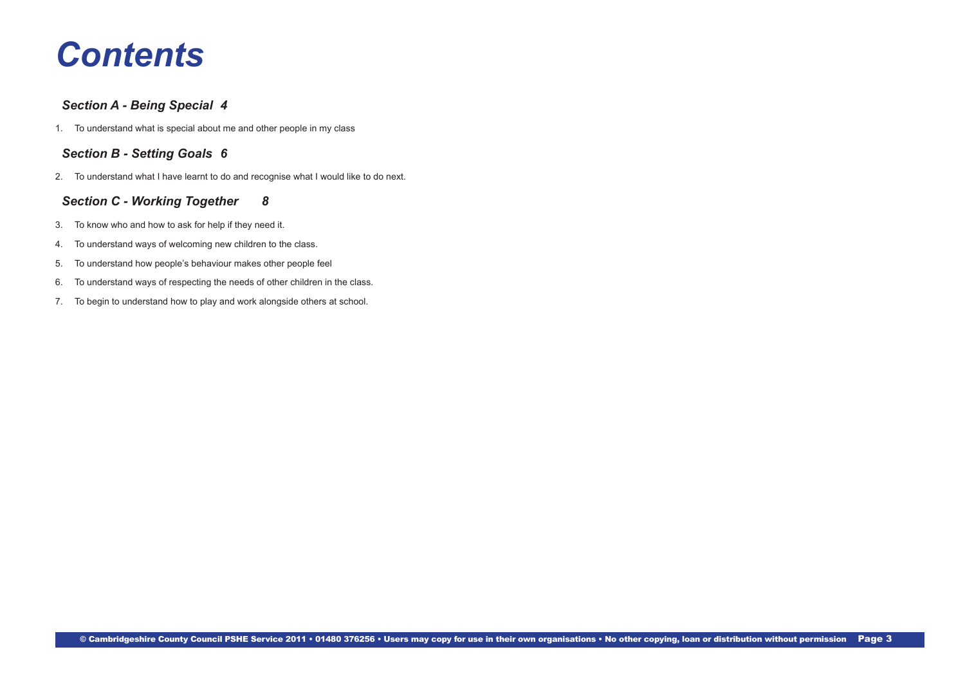# *Contents*

#### *[Section A - Being Special 4](#page-3-0)*

1. [To understand what is special about me and other people in my class](#page-3-0)

#### *[Section B - Setting Goals](#page-5-0) 6*

2. [To understand what I have learnt to do and recognise what I would like to do next.](#page-5-0)

#### *[Section C - Working Together](#page-7-0) 8*

- [3. To know who and how to ask for help if they need it.](#page-7-0)
- 4. [To understand ways of welcoming new children to the class.](#page-7-0)
- 5. [To understand how people's behaviour makes other people feel](#page-9-0)
- 6. [To understand ways of respecting the needs of other children in the class.](#page-10-0)
- 7. [To begin to understand how to play and work alongside others at school](#page-11-0).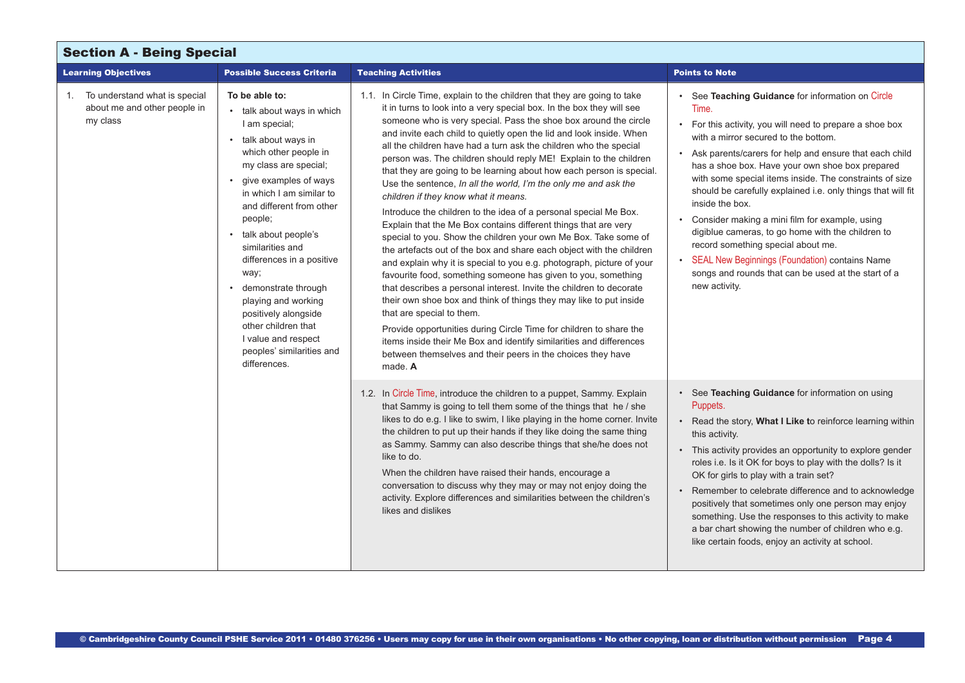<span id="page-3-0"></span>

| <b>Section A - Being Special</b>                                             |                                                                                                                                                                                                                                                                                                                                                                                                                                                                                          |                                                                                                                                                                                                                                                                                                                                                                                                                                                                                                                                                                                                                                                                                                                                                                                                                                                                                                                                                                                                                                                                                                                                                                                                                                                                                                                                                                                                                                                        |                                                                                                                                                                                                                                                                                                                                                                                                                                                                                                                                                                                                                                                                                                         |
|------------------------------------------------------------------------------|------------------------------------------------------------------------------------------------------------------------------------------------------------------------------------------------------------------------------------------------------------------------------------------------------------------------------------------------------------------------------------------------------------------------------------------------------------------------------------------|--------------------------------------------------------------------------------------------------------------------------------------------------------------------------------------------------------------------------------------------------------------------------------------------------------------------------------------------------------------------------------------------------------------------------------------------------------------------------------------------------------------------------------------------------------------------------------------------------------------------------------------------------------------------------------------------------------------------------------------------------------------------------------------------------------------------------------------------------------------------------------------------------------------------------------------------------------------------------------------------------------------------------------------------------------------------------------------------------------------------------------------------------------------------------------------------------------------------------------------------------------------------------------------------------------------------------------------------------------------------------------------------------------------------------------------------------------|---------------------------------------------------------------------------------------------------------------------------------------------------------------------------------------------------------------------------------------------------------------------------------------------------------------------------------------------------------------------------------------------------------------------------------------------------------------------------------------------------------------------------------------------------------------------------------------------------------------------------------------------------------------------------------------------------------|
| <b>Learning Objectives</b>                                                   | <b>Possible Success Criteria</b>                                                                                                                                                                                                                                                                                                                                                                                                                                                         | <b>Teaching Activities</b>                                                                                                                                                                                                                                                                                                                                                                                                                                                                                                                                                                                                                                                                                                                                                                                                                                                                                                                                                                                                                                                                                                                                                                                                                                                                                                                                                                                                                             | <b>Points to Note</b>                                                                                                                                                                                                                                                                                                                                                                                                                                                                                                                                                                                                                                                                                   |
| 1. To understand what is special<br>about me and other people in<br>my class | To be able to:<br>• talk about ways in which<br>I am special;<br>• talk about ways in<br>which other people in<br>my class are special;<br>• give examples of ways<br>in which I am similar to<br>and different from other<br>people;<br>• talk about people's<br>similarities and<br>differences in a positive<br>way;<br>demonstrate through<br>playing and working<br>positively alongside<br>other children that<br>I value and respect<br>peoples' similarities and<br>differences. | 1.1. In Circle Time, explain to the children that they are going to take<br>it in turns to look into a very special box. In the box they will see<br>someone who is very special. Pass the shoe box around the circle<br>and invite each child to quietly open the lid and look inside. When<br>all the children have had a turn ask the children who the special<br>person was. The children should reply ME! Explain to the children<br>that they are going to be learning about how each person is special.<br>Use the sentence, In all the world, I'm the only me and ask the<br>children if they know what it means.<br>Introduce the children to the idea of a personal special Me Box.<br>Explain that the Me Box contains different things that are very<br>special to you. Show the children your own Me Box. Take some of<br>the artefacts out of the box and share each object with the children<br>and explain why it is special to you e.g. photograph, picture of your<br>favourite food, something someone has given to you, something<br>that describes a personal interest. Invite the children to decorate<br>their own shoe box and think of things they may like to put inside<br>that are special to them.<br>Provide opportunities during Circle Time for children to share the<br>items inside their Me Box and identify similarities and differences<br>between themselves and their peers in the choices they have<br>made. A | • See Teaching Guidance for information on Circle<br>Time.<br>• For this activity, you will need to prepare a shoe box<br>with a mirror secured to the bottom.<br>Ask parents/carers for help and ensure that each child<br>has a shoe box. Have your own shoe box prepared<br>with some special items inside. The constraints of size<br>should be carefully explained i.e. only things that will fit<br>inside the box.<br>Consider making a mini film for example, using<br>digiblue cameras, to go home with the children to<br>record something special about me.<br><b>SEAL New Beginnings (Foundation) contains Name</b><br>songs and rounds that can be used at the start of a<br>new activity. |
|                                                                              |                                                                                                                                                                                                                                                                                                                                                                                                                                                                                          | 1.2. In Circle Time, introduce the children to a puppet, Sammy. Explain<br>that Sammy is going to tell them some of the things that he / she<br>likes to do e.g. I like to swim, I like playing in the home corner. Invite<br>the children to put up their hands if they like doing the same thing<br>as Sammy. Sammy can also describe things that she/he does not<br>like to do.<br>When the children have raised their hands, encourage a<br>conversation to discuss why they may or may not enjoy doing the<br>activity. Explore differences and similarities between the children's<br>likes and dislikes                                                                                                                                                                                                                                                                                                                                                                                                                                                                                                                                                                                                                                                                                                                                                                                                                                         | See Teaching Guidance for information on using<br>Puppets.<br>Read the story, What I Like to reinforce learning within<br>this activity.<br>• This activity provides an opportunity to explore gender<br>roles i.e. Is it OK for boys to play with the dolls? Is it<br>OK for girls to play with a train set?<br>Remember to celebrate difference and to acknowledge<br>positively that sometimes only one person may enjoy<br>something. Use the responses to this activity to make<br>a bar chart showing the number of children who e.g.<br>like certain foods, enjoy an activity at school.                                                                                                         |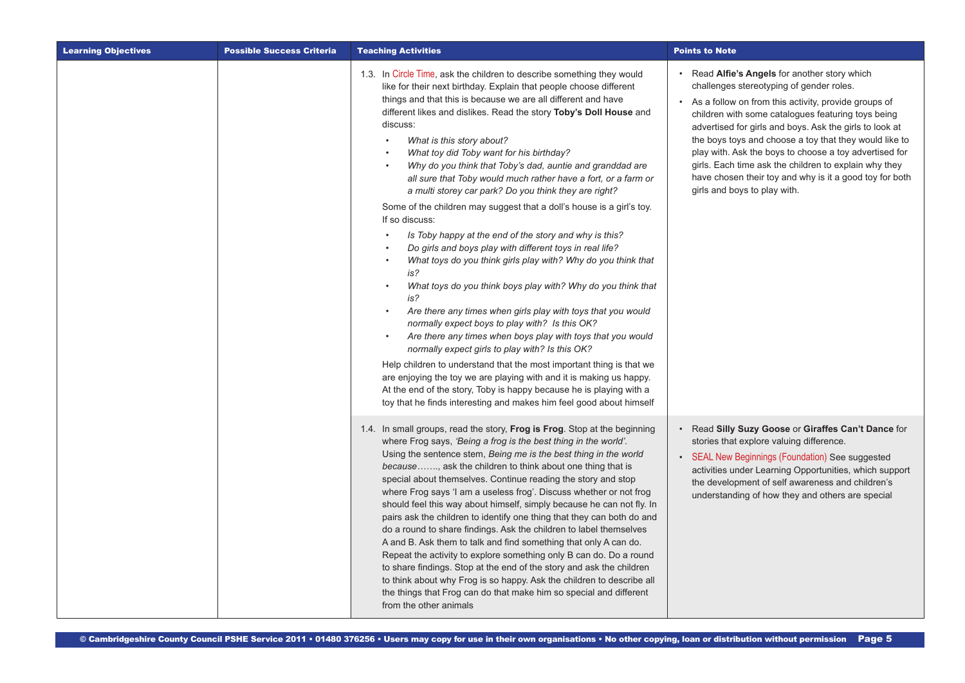| <b>Learning Objectives</b> | <b>Possible Success Criteria</b> | <b>Teaching Activities</b>                                                                                                                                                                                                                                                                                                                                                                                                                                                                                                                                                                                                                                                                                                                                                                                                                                                                                                                                                                                                                | <b>Points to Note</b>                                                                                                                                                                                                                                                                                                                                                                                                                                                                                                                        |
|----------------------------|----------------------------------|-------------------------------------------------------------------------------------------------------------------------------------------------------------------------------------------------------------------------------------------------------------------------------------------------------------------------------------------------------------------------------------------------------------------------------------------------------------------------------------------------------------------------------------------------------------------------------------------------------------------------------------------------------------------------------------------------------------------------------------------------------------------------------------------------------------------------------------------------------------------------------------------------------------------------------------------------------------------------------------------------------------------------------------------|----------------------------------------------------------------------------------------------------------------------------------------------------------------------------------------------------------------------------------------------------------------------------------------------------------------------------------------------------------------------------------------------------------------------------------------------------------------------------------------------------------------------------------------------|
|                            |                                  | 1.3. In Circle Time, ask the children to describe something they would<br>like for their next birthday. Explain that people choose different<br>things and that this is because we are all different and have<br>different likes and dislikes. Read the story Toby's Doll House and<br>discuss:<br>What is this story about?<br>What toy did Toby want for his birthday?<br>$\bullet$<br>Why do you think that Toby's dad, auntie and granddad are<br>all sure that Toby would much rather have a fort, or a farm or<br>a multi storey car park? Do you think they are right?                                                                                                                                                                                                                                                                                                                                                                                                                                                             | • Read Alfie's Angels for another story which<br>challenges stereotyping of gender roles.<br>• As a follow on from this activity, provide groups of<br>children with some catalogues featuring toys being<br>advertised for girls and boys. Ask the girls to look at<br>the boys toys and choose a toy that they would like to<br>play with. Ask the boys to choose a toy advertised for<br>girls. Each time ask the children to explain why they<br>have chosen their toy and why is it a good toy for both<br>girls and boys to play with. |
|                            |                                  | Some of the children may suggest that a doll's house is a girl's toy.<br>If so discuss:<br>Is Toby happy at the end of the story and why is this?<br>Do girls and boys play with different toys in real life?<br>What toys do you think girls play with? Why do you think that<br>$\bullet$<br>is?<br>What toys do you think boys play with? Why do you think that<br>$\bullet$<br>is?<br>Are there any times when girls play with toys that you would<br>$\bullet$<br>normally expect boys to play with? Is this OK?<br>Are there any times when boys play with toys that you would<br>normally expect girls to play with? Is this OK?<br>Help children to understand that the most important thing is that we<br>are enjoying the toy we are playing with and it is making us happy.<br>At the end of the story, Toby is happy because he is playing with a<br>toy that he finds interesting and makes him feel good about himself                                                                                                      |                                                                                                                                                                                                                                                                                                                                                                                                                                                                                                                                              |
|                            |                                  | 1.4. In small groups, read the story, Frog is Frog. Stop at the beginning<br>where Frog says, 'Being a frog is the best thing in the world'.<br>Using the sentence stem, Being me is the best thing in the world<br>because, ask the children to think about one thing that is<br>special about themselves. Continue reading the story and stop<br>where Frog says 'I am a useless frog'. Discuss whether or not frog<br>should feel this way about himself, simply because he can not fly. In<br>pairs ask the children to identify one thing that they can both do and<br>do a round to share findings. Ask the children to label themselves<br>A and B. Ask them to talk and find something that only A can do.<br>Repeat the activity to explore something only B can do. Do a round<br>to share findings. Stop at the end of the story and ask the children<br>to think about why Frog is so happy. Ask the children to describe all<br>the things that Frog can do that make him so special and different<br>from the other animals | • Read Silly Suzy Goose or Giraffes Can't Dance for<br>stories that explore valuing difference.<br>• SEAL New Beginnings (Foundation) See suggested<br>activities under Learning Opportunities, which support<br>the development of self awareness and children's<br>understanding of how they and others are special                                                                                                                                                                                                                        |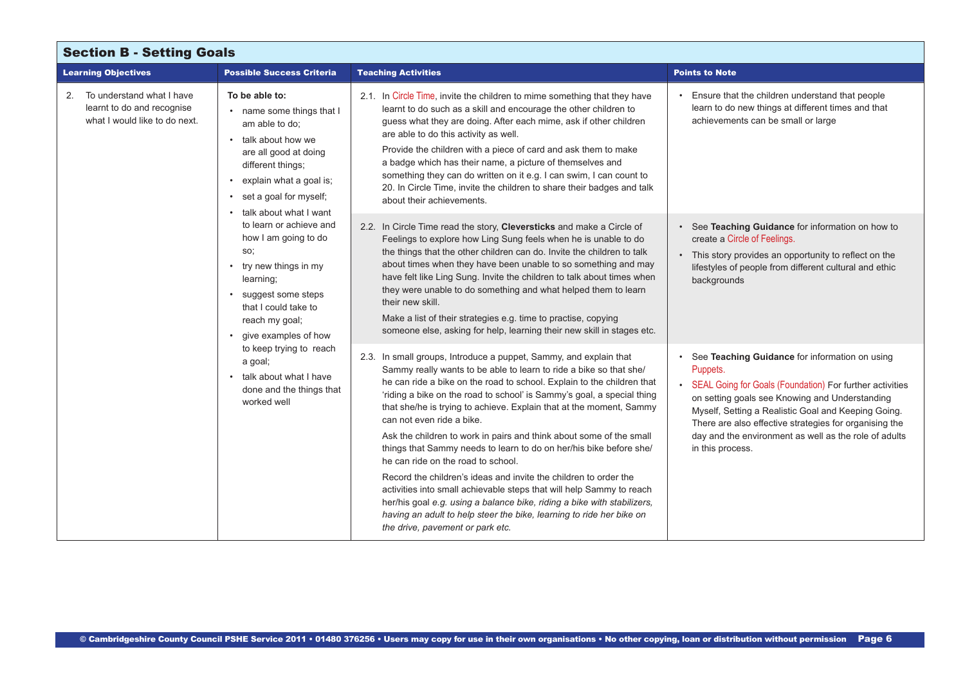<span id="page-5-0"></span>

| <b>Section B - Setting Goals</b>                                                               |                                                                                                                                                                                                                                |                                                                                                                                                                                                                                                                                                                                                                                                                                                                                                                                                                                                                                                                                                                                                                                                                                                                                                                       |                                                                                                                                                                                                                                                                                                                                                                          |
|------------------------------------------------------------------------------------------------|--------------------------------------------------------------------------------------------------------------------------------------------------------------------------------------------------------------------------------|-----------------------------------------------------------------------------------------------------------------------------------------------------------------------------------------------------------------------------------------------------------------------------------------------------------------------------------------------------------------------------------------------------------------------------------------------------------------------------------------------------------------------------------------------------------------------------------------------------------------------------------------------------------------------------------------------------------------------------------------------------------------------------------------------------------------------------------------------------------------------------------------------------------------------|--------------------------------------------------------------------------------------------------------------------------------------------------------------------------------------------------------------------------------------------------------------------------------------------------------------------------------------------------------------------------|
| <b>Learning Objectives</b>                                                                     | <b>Possible Success Criteria</b>                                                                                                                                                                                               | <b>Teaching Activities</b>                                                                                                                                                                                                                                                                                                                                                                                                                                                                                                                                                                                                                                                                                                                                                                                                                                                                                            | <b>Points to Note</b>                                                                                                                                                                                                                                                                                                                                                    |
| To understand what I have<br>2.<br>learnt to do and recognise<br>what I would like to do next. | To be able to:<br>• name some things that I<br>am able to do;<br>• talk about how we<br>are all good at doing<br>different things;<br>explain what a goal is;<br>$\bullet$<br>set a goal for myself;<br>talk about what I want | 2.1. In Circle Time, invite the children to mime something that they have<br>learnt to do such as a skill and encourage the other children to<br>guess what they are doing. After each mime, ask if other children<br>are able to do this activity as well.<br>Provide the children with a piece of card and ask them to make<br>a badge which has their name, a picture of themselves and<br>something they can do written on it e.g. I can swim, I can count to<br>20. In Circle Time, invite the children to share their badges and talk<br>about their achievements.                                                                                                                                                                                                                                                                                                                                              | Ensure that the children understand that people<br>learn to do new things at different times and that<br>achievements can be small or large                                                                                                                                                                                                                              |
|                                                                                                | to learn or achieve and<br>how I am going to do<br>SO;<br>• try new things in my<br>learning;<br>suggest some steps<br>that I could take to<br>reach my goal;<br>give examples of how                                          | 2.2. In Circle Time read the story, Cleversticks and make a Circle of<br>Feelings to explore how Ling Sung feels when he is unable to do<br>the things that the other children can do. Invite the children to talk<br>about times when they have been unable to so something and may<br>have felt like Ling Sung. Invite the children to talk about times when<br>they were unable to do something and what helped them to learn<br>their new skill.<br>Make a list of their strategies e.g. time to practise, copying<br>someone else, asking for help, learning their new skill in stages etc.                                                                                                                                                                                                                                                                                                                      | • See Teaching Guidance for information on how to<br>create a Circle of Feelings.<br>This story provides an opportunity to reflect on the<br>lifestyles of people from different cultural and ethic<br>backgrounds                                                                                                                                                       |
|                                                                                                | to keep trying to reach<br>a goal;<br>talk about what I have<br>done and the things that<br>worked well                                                                                                                        | 2.3. In small groups, Introduce a puppet, Sammy, and explain that<br>Sammy really wants to be able to learn to ride a bike so that she/<br>he can ride a bike on the road to school. Explain to the children that<br>'riding a bike on the road to school' is Sammy's goal, a special thing<br>that she/he is trying to achieve. Explain that at the moment, Sammy<br>can not even ride a bike.<br>Ask the children to work in pairs and think about some of the small<br>things that Sammy needs to learn to do on her/his bike before she/<br>he can ride on the road to school.<br>Record the children's ideas and invite the children to order the<br>activities into small achievable steps that will help Sammy to reach<br>her/his goal e.g. using a balance bike, riding a bike with stabilizers,<br>having an adult to help steer the bike, learning to ride her bike on<br>the drive, pavement or park etc. | See Teaching Guidance for information on using<br>Puppets.<br>• SEAL Going for Goals (Foundation) For further activities<br>on setting goals see Knowing and Understanding<br>Myself, Setting a Realistic Goal and Keeping Going.<br>There are also effective strategies for organising the<br>day and the environment as well as the role of adults<br>in this process. |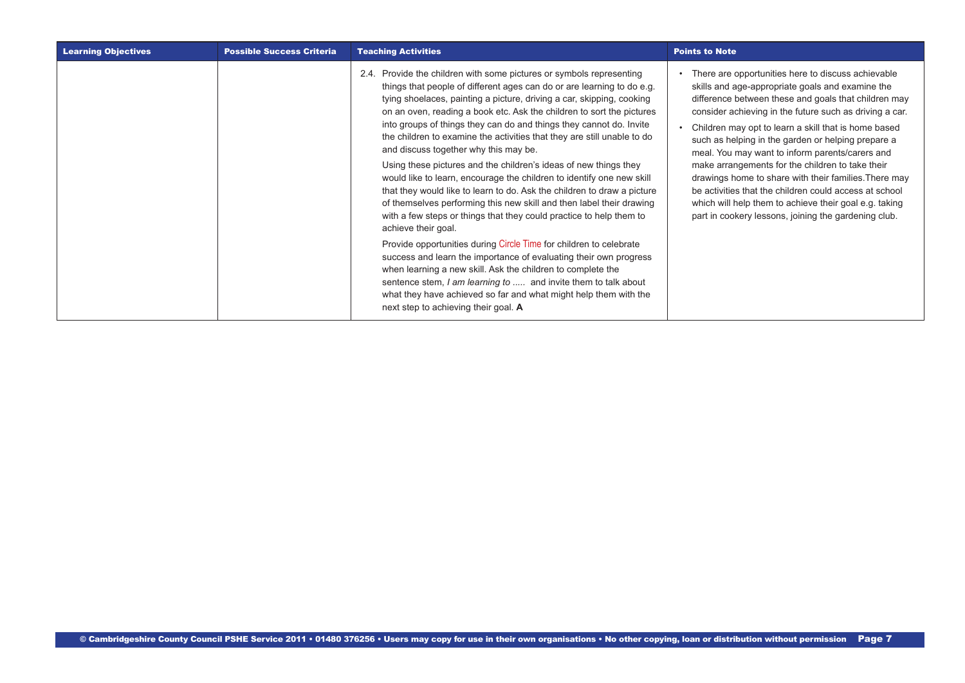| <b>Learning Objectives</b> | <b>Possible Success Criteria</b> | <b>Teaching Activities</b>                                                                                                                                                                                                                                                                                                                                                                                                                                                                                                                                                                                                                                                                                                                                                                                                                                                                                                                                                                                                                                                                                                                                                                                                                                                           | <b>Points to Note</b>                                                                                                                                                                                                                                                                                                                                                                                                                                                                                                                                                                                                                                                               |
|----------------------------|----------------------------------|--------------------------------------------------------------------------------------------------------------------------------------------------------------------------------------------------------------------------------------------------------------------------------------------------------------------------------------------------------------------------------------------------------------------------------------------------------------------------------------------------------------------------------------------------------------------------------------------------------------------------------------------------------------------------------------------------------------------------------------------------------------------------------------------------------------------------------------------------------------------------------------------------------------------------------------------------------------------------------------------------------------------------------------------------------------------------------------------------------------------------------------------------------------------------------------------------------------------------------------------------------------------------------------|-------------------------------------------------------------------------------------------------------------------------------------------------------------------------------------------------------------------------------------------------------------------------------------------------------------------------------------------------------------------------------------------------------------------------------------------------------------------------------------------------------------------------------------------------------------------------------------------------------------------------------------------------------------------------------------|
|                            |                                  | Provide the children with some pictures or symbols representing<br>2.4.<br>things that people of different ages can do or are learning to do e.g.<br>tying shoelaces, painting a picture, driving a car, skipping, cooking<br>on an oven, reading a book etc. Ask the children to sort the pictures<br>into groups of things they can do and things they cannot do. Invite<br>the children to examine the activities that they are still unable to do<br>and discuss together why this may be.<br>Using these pictures and the children's ideas of new things they<br>would like to learn, encourage the children to identify one new skill<br>that they would like to learn to do. Ask the children to draw a picture<br>of themselves performing this new skill and then label their drawing<br>with a few steps or things that they could practice to help them to<br>achieve their goal.<br>Provide opportunities during Circle Time for children to celebrate<br>success and learn the importance of evaluating their own progress<br>when learning a new skill. Ask the children to complete the<br>sentence stem, I am learning to  and invite them to talk about<br>what they have achieved so far and what might help them with the<br>next step to achieving their goal. A | There are opportunities here to discuss achievable<br>skills and age-appropriate goals and examine the<br>difference between these and goals that children may<br>consider achieving in the future such as driving a car.<br>Children may opt to learn a skill that is home based<br>such as helping in the garden or helping prepare a<br>meal. You may want to inform parents/carers and<br>make arrangements for the children to take their<br>drawings home to share with their families. There may<br>be activities that the children could access at school<br>which will help them to achieve their goal e.g. taking<br>part in cookery lessons, joining the gardening club. |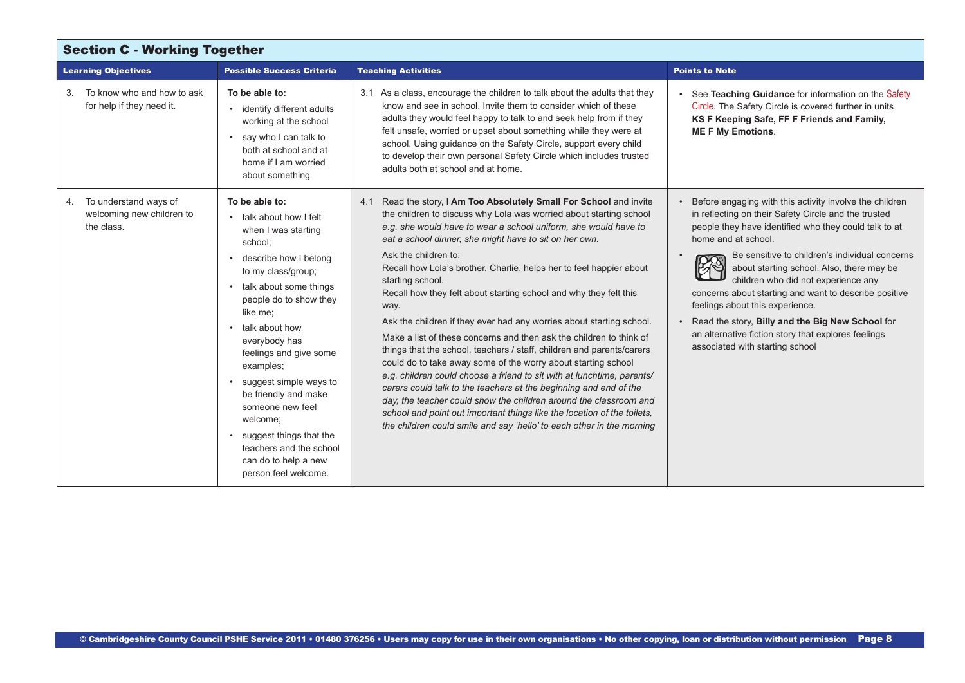<span id="page-7-0"></span>

|                                                                        | <b>Section C - Working Together</b>                                                                                                                                                                                                                                                                                                                                                                                                                            |                                                                                                                                                                                                                                                                                                                                                                                                                                                                                                                                                                                                                                                                                                                                                                                                                                                                                                                                                                                                                                                                                                                                         |                                                                                                                                                                                                                                                                                                                                                                                                                                                                                                                                                                                 |
|------------------------------------------------------------------------|----------------------------------------------------------------------------------------------------------------------------------------------------------------------------------------------------------------------------------------------------------------------------------------------------------------------------------------------------------------------------------------------------------------------------------------------------------------|-----------------------------------------------------------------------------------------------------------------------------------------------------------------------------------------------------------------------------------------------------------------------------------------------------------------------------------------------------------------------------------------------------------------------------------------------------------------------------------------------------------------------------------------------------------------------------------------------------------------------------------------------------------------------------------------------------------------------------------------------------------------------------------------------------------------------------------------------------------------------------------------------------------------------------------------------------------------------------------------------------------------------------------------------------------------------------------------------------------------------------------------|---------------------------------------------------------------------------------------------------------------------------------------------------------------------------------------------------------------------------------------------------------------------------------------------------------------------------------------------------------------------------------------------------------------------------------------------------------------------------------------------------------------------------------------------------------------------------------|
| <b>Learning Objectives</b>                                             | <b>Possible Success Criteria</b>                                                                                                                                                                                                                                                                                                                                                                                                                               | <b>Teaching Activities</b>                                                                                                                                                                                                                                                                                                                                                                                                                                                                                                                                                                                                                                                                                                                                                                                                                                                                                                                                                                                                                                                                                                              | <b>Points to Note</b>                                                                                                                                                                                                                                                                                                                                                                                                                                                                                                                                                           |
| To know who and how to ask<br>3.<br>for help if they need it.          | To be able to:<br>• identify different adults<br>working at the school<br>• say who I can talk to<br>both at school and at<br>home if I am worried<br>about something                                                                                                                                                                                                                                                                                          | 3.1 As a class, encourage the children to talk about the adults that they<br>know and see in school. Invite them to consider which of these<br>adults they would feel happy to talk to and seek help from if they<br>felt unsafe, worried or upset about something while they were at<br>school. Using guidance on the Safety Circle, support every child<br>to develop their own personal Safety Circle which includes trusted<br>adults both at school and at home.                                                                                                                                                                                                                                                                                                                                                                                                                                                                                                                                                                                                                                                                   | See Teaching Guidance for information on the Safety<br>Circle. The Safety Circle is covered further in units<br>KS F Keeping Safe, FF F Friends and Family,<br><b>ME F My Emotions.</b>                                                                                                                                                                                                                                                                                                                                                                                         |
| To understand ways of<br>4.<br>welcoming new children to<br>the class. | To be able to:<br>• talk about how I felt<br>when I was starting<br>school:<br>• describe how I belong<br>to my class/group;<br>talk about some things<br>people do to show they<br>like me:<br>talk about how<br>everybody has<br>feelings and give some<br>examples;<br>suggest simple ways to<br>be friendly and make<br>someone new feel<br>welcome;<br>suggest things that the<br>teachers and the school<br>can do to help a new<br>person feel welcome. | 4.1 Read the story, I Am Too Absolutely Small For School and invite<br>the children to discuss why Lola was worried about starting school<br>e.g. she would have to wear a school uniform, she would have to<br>eat a school dinner, she might have to sit on her own.<br>Ask the children to:<br>Recall how Lola's brother, Charlie, helps her to feel happier about<br>starting school.<br>Recall how they felt about starting school and why they felt this<br>way.<br>Ask the children if they ever had any worries about starting school.<br>Make a list of these concerns and then ask the children to think of<br>things that the school, teachers / staff, children and parents/carers<br>could do to take away some of the worry about starting school<br>e.g. children could choose a friend to sit with at lunchtime, parents/<br>carers could talk to the teachers at the beginning and end of the<br>day, the teacher could show the children around the classroom and<br>school and point out important things like the location of the toilets,<br>the children could smile and say 'hello' to each other in the morning | Before engaging with this activity involve the children<br>in reflecting on their Safety Circle and the trusted<br>people they have identified who they could talk to at<br>home and at school.<br>Be sensitive to children's individual concerns<br>about starting school. Also, there may be<br>children who did not experience any<br>concerns about starting and want to describe positive<br>feelings about this experience.<br>Read the story, Billy and the Big New School for<br>an alternative fiction story that explores feelings<br>associated with starting school |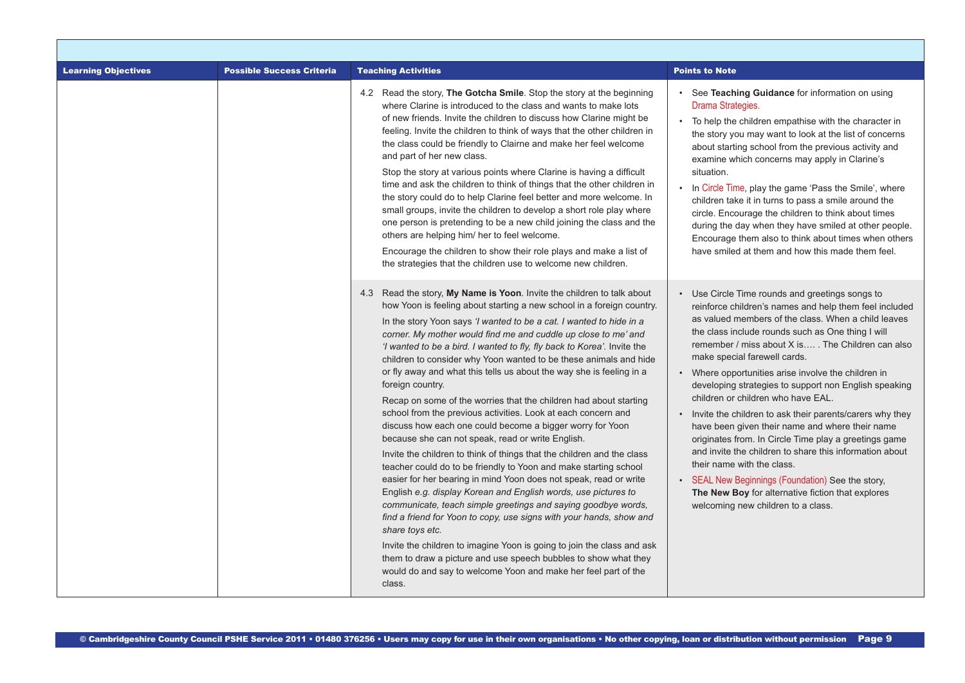| <b>Learning Objectives</b> | <b>Possible Success Criteria</b> | <b>Teaching Activities</b>                                                                                                                                                                                                                                                                                                                                                                                                                                                                                                                                                                                                                                                                                                                                                                                                                                                                                                                                                                                                                                                                                                                                                                                                                                                                                                                                                                                                                                            | <b>Points to Note</b>                                                                                                                                                                                                                                                                                                                                                                                                                                                                                                                                                                                                                                                                                                                                                                                                                                                            |
|----------------------------|----------------------------------|-----------------------------------------------------------------------------------------------------------------------------------------------------------------------------------------------------------------------------------------------------------------------------------------------------------------------------------------------------------------------------------------------------------------------------------------------------------------------------------------------------------------------------------------------------------------------------------------------------------------------------------------------------------------------------------------------------------------------------------------------------------------------------------------------------------------------------------------------------------------------------------------------------------------------------------------------------------------------------------------------------------------------------------------------------------------------------------------------------------------------------------------------------------------------------------------------------------------------------------------------------------------------------------------------------------------------------------------------------------------------------------------------------------------------------------------------------------------------|----------------------------------------------------------------------------------------------------------------------------------------------------------------------------------------------------------------------------------------------------------------------------------------------------------------------------------------------------------------------------------------------------------------------------------------------------------------------------------------------------------------------------------------------------------------------------------------------------------------------------------------------------------------------------------------------------------------------------------------------------------------------------------------------------------------------------------------------------------------------------------|
|                            |                                  | 4.2 Read the story, The Gotcha Smile. Stop the story at the beginning<br>where Clarine is introduced to the class and wants to make lots<br>of new friends. Invite the children to discuss how Clarine might be<br>feeling. Invite the children to think of ways that the other children in<br>the class could be friendly to Clairne and make her feel welcome<br>and part of her new class.<br>Stop the story at various points where Clarine is having a difficult<br>time and ask the children to think of things that the other children in<br>the story could do to help Clarine feel better and more welcome. In<br>small groups, invite the children to develop a short role play where<br>one person is pretending to be a new child joining the class and the<br>others are helping him/ her to feel welcome.<br>Encourage the children to show their role plays and make a list of<br>the strategies that the children use to welcome new children.                                                                                                                                                                                                                                                                                                                                                                                                                                                                                                        | • See Teaching Guidance for information on using<br>Drama Strategies.<br>To help the children empathise with the character in<br>the story you may want to look at the list of concerns<br>about starting school from the previous activity and<br>examine which concerns may apply in Clarine's<br>situation.<br>• In Circle Time, play the game 'Pass the Smile', where<br>children take it in turns to pass a smile around the<br>circle. Encourage the children to think about times<br>during the day when they have smiled at other people.<br>Encourage them also to think about times when others<br>have smiled at them and how this made them feel.                                                                                                                                                                                                                    |
|                            |                                  | 4.3 Read the story, My Name is Yoon. Invite the children to talk about<br>how Yoon is feeling about starting a new school in a foreign country.<br>In the story Yoon says 'I wanted to be a cat. I wanted to hide in a<br>corner. My mother would find me and cuddle up close to me' and<br>'I wanted to be a bird. I wanted to fly, fly back to Korea'. Invite the<br>children to consider why Yoon wanted to be these animals and hide<br>or fly away and what this tells us about the way she is feeling in a<br>foreign country.<br>Recap on some of the worries that the children had about starting<br>school from the previous activities. Look at each concern and<br>discuss how each one could become a bigger worry for Yoon<br>because she can not speak, read or write English.<br>Invite the children to think of things that the children and the class<br>teacher could do to be friendly to Yoon and make starting school<br>easier for her bearing in mind Yoon does not speak, read or write<br>English e.g. display Korean and English words, use pictures to<br>communicate, teach simple greetings and saying goodbye words,<br>find a friend for Yoon to copy, use signs with your hands, show and<br>share toys etc.<br>Invite the children to imagine Yoon is going to join the class and ask<br>them to draw a picture and use speech bubbles to show what they<br>would do and say to welcome Yoon and make her feel part of the<br>class. | • Use Circle Time rounds and greetings songs to<br>reinforce children's names and help them feel included<br>as valued members of the class. When a child leaves<br>the class include rounds such as One thing I will<br>remember / miss about X is The Children can also<br>make special farewell cards.<br>• Where opportunities arise involve the children in<br>developing strategies to support non English speaking<br>children or children who have EAL.<br>• Invite the children to ask their parents/carers why they<br>have been given their name and where their name<br>originates from. In Circle Time play a greetings game<br>and invite the children to share this information about<br>their name with the class.<br>SEAL New Beginnings (Foundation) See the story,<br>The New Boy for alternative fiction that explores<br>welcoming new children to a class. |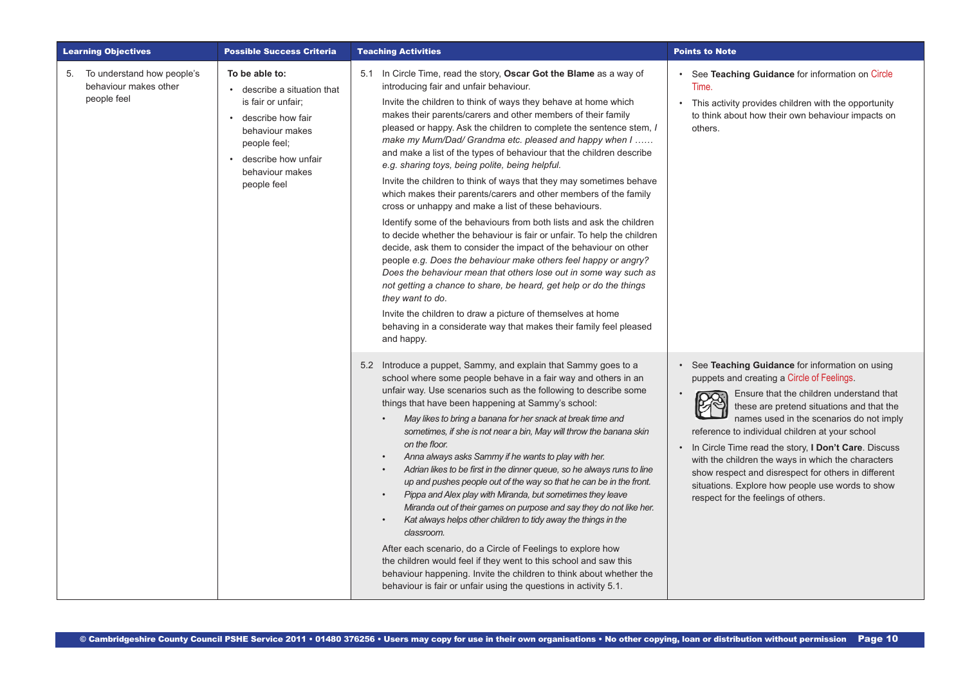<span id="page-9-0"></span>

| <b>Learning Objectives</b>                                               | <b>Possible Success Criteria</b>                                                                                                                                                                    | <b>Teaching Activities</b>                                                                                                                                                                                                                                                                                                                                                                                                                                                                                                                                                                                                                                                                                                                                                                                                                                                                                                                                                                                                                                                                                                                                                                                                                                                                                                  | <b>Points to Note</b>                                                                                                                                                                                                                                                                                                                                                                                                                                                                                                                                               |
|--------------------------------------------------------------------------|-----------------------------------------------------------------------------------------------------------------------------------------------------------------------------------------------------|-----------------------------------------------------------------------------------------------------------------------------------------------------------------------------------------------------------------------------------------------------------------------------------------------------------------------------------------------------------------------------------------------------------------------------------------------------------------------------------------------------------------------------------------------------------------------------------------------------------------------------------------------------------------------------------------------------------------------------------------------------------------------------------------------------------------------------------------------------------------------------------------------------------------------------------------------------------------------------------------------------------------------------------------------------------------------------------------------------------------------------------------------------------------------------------------------------------------------------------------------------------------------------------------------------------------------------|---------------------------------------------------------------------------------------------------------------------------------------------------------------------------------------------------------------------------------------------------------------------------------------------------------------------------------------------------------------------------------------------------------------------------------------------------------------------------------------------------------------------------------------------------------------------|
| To understand how people's<br>5.<br>behaviour makes other<br>people feel | To be able to:<br>• describe a situation that<br>is fair or unfair;<br>• describe how fair<br>behaviour makes<br>people feel;<br>describe how unfair<br>$\bullet$<br>behaviour makes<br>people feel | 5.1 In Circle Time, read the story, Oscar Got the Blame as a way of<br>introducing fair and unfair behaviour.<br>Invite the children to think of ways they behave at home which<br>makes their parents/carers and other members of their family<br>pleased or happy. Ask the children to complete the sentence stem, I<br>make my Mum/Dad/ Grandma etc. pleased and happy when I<br>and make a list of the types of behaviour that the children describe<br>e.g. sharing toys, being polite, being helpful.<br>Invite the children to think of ways that they may sometimes behave<br>which makes their parents/carers and other members of the family<br>cross or unhappy and make a list of these behaviours.<br>Identify some of the behaviours from both lists and ask the children<br>to decide whether the behaviour is fair or unfair. To help the children<br>decide, ask them to consider the impact of the behaviour on other<br>people e.g. Does the behaviour make others feel happy or angry?<br>Does the behaviour mean that others lose out in some way such as<br>not getting a chance to share, be heard, get help or do the things<br>they want to do.<br>Invite the children to draw a picture of themselves at home<br>behaving in a considerate way that makes their family feel pleased<br>and happy. | See Teaching Guidance for information on Circle<br>Time.<br>• This activity provides children with the opportunity<br>to think about how their own behaviour impacts on<br>others.                                                                                                                                                                                                                                                                                                                                                                                  |
|                                                                          |                                                                                                                                                                                                     | 5.2 Introduce a puppet, Sammy, and explain that Sammy goes to a<br>school where some people behave in a fair way and others in an<br>unfair way. Use scenarios such as the following to describe some<br>things that have been happening at Sammy's school:<br>May likes to bring a banana for her snack at break time and<br>sometimes, if she is not near a bin, May will throw the banana skin<br>on the floor.<br>Anna always asks Sammy if he wants to play with her.<br>Adrian likes to be first in the dinner queue, so he always runs to line<br>$\bullet$<br>up and pushes people out of the way so that he can be in the front.<br>Pippa and Alex play with Miranda, but sometimes they leave<br>$\bullet$<br>Miranda out of their games on purpose and say they do not like her.<br>Kat always helps other children to tidy away the things in the<br>$\bullet$<br>classroom.<br>After each scenario, do a Circle of Feelings to explore how<br>the children would feel if they went to this school and saw this<br>behaviour happening. Invite the children to think about whether the<br>behaviour is fair or unfair using the questions in activity 5.1.                                                                                                                                                      | See Teaching Guidance for information on using<br>puppets and creating a Circle of Feelings.<br>Ensure that the children understand that<br>$\bullet$<br>these are pretend situations and that the<br>names used in the scenarios do not imply<br>reference to individual children at your school<br>• In Circle Time read the story, I Don't Care. Discuss<br>with the children the ways in which the characters<br>show respect and disrespect for others in different<br>situations. Explore how people use words to show<br>respect for the feelings of others. |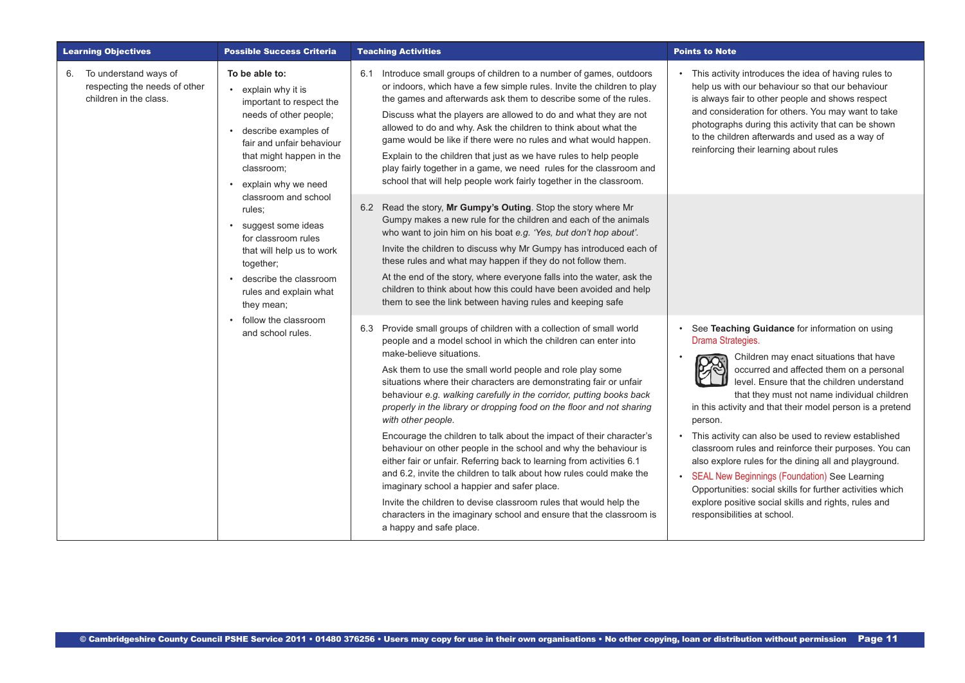<span id="page-10-0"></span>

| <b>Learning Objectives</b>                                                             | <b>Possible Success Criteria</b>                                                                                                                                                                                  | <b>Teaching Activities</b>                                                                                                                                                                                                                                                                                                                                                                                                                                                                                                                                                                                                                                                                                                                                                                                                                                                                                                                                                                      | <b>Points to Note</b>                                                                                                                                                                                                                                                                                                                                                                                                                                                                                                                                                                                                                                                                                                                   |
|----------------------------------------------------------------------------------------|-------------------------------------------------------------------------------------------------------------------------------------------------------------------------------------------------------------------|-------------------------------------------------------------------------------------------------------------------------------------------------------------------------------------------------------------------------------------------------------------------------------------------------------------------------------------------------------------------------------------------------------------------------------------------------------------------------------------------------------------------------------------------------------------------------------------------------------------------------------------------------------------------------------------------------------------------------------------------------------------------------------------------------------------------------------------------------------------------------------------------------------------------------------------------------------------------------------------------------|-----------------------------------------------------------------------------------------------------------------------------------------------------------------------------------------------------------------------------------------------------------------------------------------------------------------------------------------------------------------------------------------------------------------------------------------------------------------------------------------------------------------------------------------------------------------------------------------------------------------------------------------------------------------------------------------------------------------------------------------|
| To understand ways of<br>6.<br>respecting the needs of other<br>children in the class. | To be able to:<br>• explain why it is<br>important to respect the<br>needs of other people;<br>describe examples of<br>fair and unfair behaviour<br>that might happen in the<br>classroom;<br>explain why we need | 6.1 Introduce small groups of children to a number of games, outdoors<br>or indoors, which have a few simple rules. Invite the children to play<br>the games and afterwards ask them to describe some of the rules.<br>Discuss what the players are allowed to do and what they are not<br>allowed to do and why. Ask the children to think about what the<br>game would be like if there were no rules and what would happen.<br>Explain to the children that just as we have rules to help people<br>play fairly together in a game, we need rules for the classroom and<br>school that will help people work fairly together in the classroom.                                                                                                                                                                                                                                                                                                                                               | • This activity introduces the idea of having rules to<br>help us with our behaviour so that our behaviour<br>is always fair to other people and shows respect<br>and consideration for others. You may want to take<br>photographs during this activity that can be shown<br>to the children afterwards and used as a way of<br>reinforcing their learning about rules                                                                                                                                                                                                                                                                                                                                                                 |
|                                                                                        | classroom and school<br>rules:<br>suggest some ideas<br>for classroom rules<br>that will help us to work<br>together;<br>describe the classroom<br>rules and explain what<br>they mean;                           | 6.2 Read the story, Mr Gumpy's Outing. Stop the story where Mr<br>Gumpy makes a new rule for the children and each of the animals<br>who want to join him on his boat e.g. 'Yes, but don't hop about'.<br>Invite the children to discuss why Mr Gumpy has introduced each of<br>these rules and what may happen if they do not follow them.<br>At the end of the story, where everyone falls into the water, ask the<br>children to think about how this could have been avoided and help<br>them to see the link between having rules and keeping safe                                                                                                                                                                                                                                                                                                                                                                                                                                         |                                                                                                                                                                                                                                                                                                                                                                                                                                                                                                                                                                                                                                                                                                                                         |
|                                                                                        | follow the classroom<br>and school rules.                                                                                                                                                                         | 6.3 Provide small groups of children with a collection of small world<br>people and a model school in which the children can enter into<br>make-believe situations.<br>Ask them to use the small world people and role play some<br>situations where their characters are demonstrating fair or unfair<br>behaviour e.g. walking carefully in the corridor, putting books back<br>properly in the library or dropping food on the floor and not sharing<br>with other people.<br>Encourage the children to talk about the impact of their character's<br>behaviour on other people in the school and why the behaviour is<br>either fair or unfair. Referring back to learning from activities 6.1<br>and 6.2, invite the children to talk about how rules could make the<br>imaginary school a happier and safer place.<br>Invite the children to devise classroom rules that would help the<br>characters in the imaginary school and ensure that the classroom is<br>a happy and safe place. | • See Teaching Guidance for information on using<br>Drama Strategies.<br>Children may enact situations that have<br>$\bullet$<br>occurred and affected them on a personal<br>NG<br>level. Ensure that the children understand<br>that they must not name individual children<br>in this activity and that their model person is a pretend<br>person.<br>• This activity can also be used to review established<br>classroom rules and reinforce their purposes. You can<br>also explore rules for the dining all and playground.<br>• SEAL New Beginnings (Foundation) See Learning<br>Opportunities: social skills for further activities which<br>explore positive social skills and rights, rules and<br>responsibilities at school. |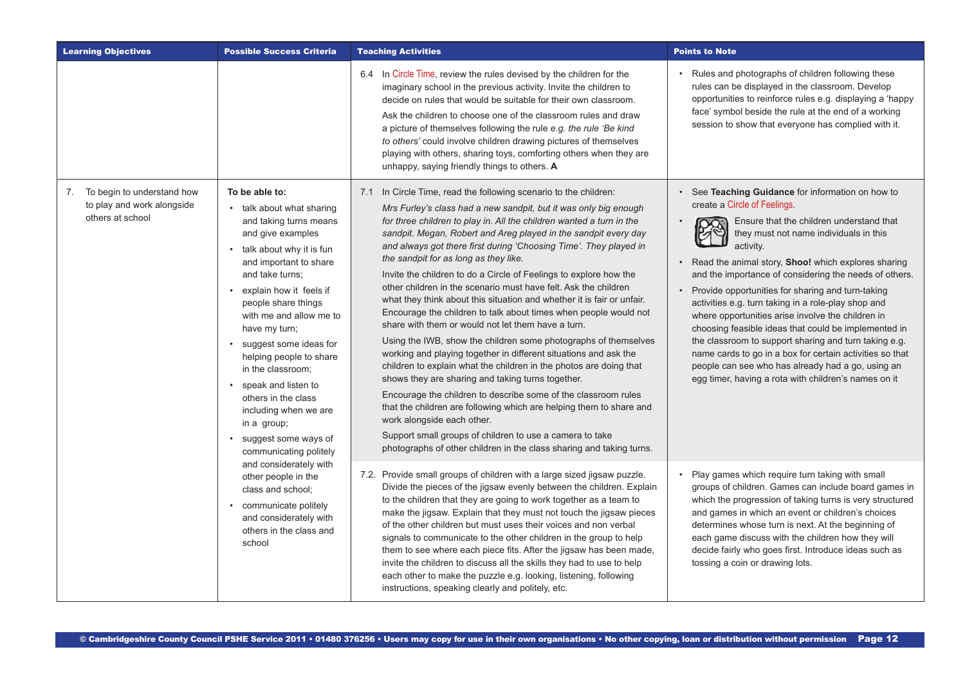<span id="page-11-0"></span>

| <b>Learning Objectives</b>                                                         | <b>Possible Success Criteria</b>                                                                                                                                                                                                                                                                                                                                                                                                                                                            | <b>Teaching Activities</b>                                                                                                                                                                                                                                                                                                                                                                                                                                                                                                                                                                                                                                                                                                                                                                                                                                                                                                                                                                                                                                                                                                                                                                                                                                                                                             | <b>Points to Note</b>                                                                                                                                                                                                                                                                                                                                                                                                                                                                                                                                                                                                                                                                                                                                                |
|------------------------------------------------------------------------------------|---------------------------------------------------------------------------------------------------------------------------------------------------------------------------------------------------------------------------------------------------------------------------------------------------------------------------------------------------------------------------------------------------------------------------------------------------------------------------------------------|------------------------------------------------------------------------------------------------------------------------------------------------------------------------------------------------------------------------------------------------------------------------------------------------------------------------------------------------------------------------------------------------------------------------------------------------------------------------------------------------------------------------------------------------------------------------------------------------------------------------------------------------------------------------------------------------------------------------------------------------------------------------------------------------------------------------------------------------------------------------------------------------------------------------------------------------------------------------------------------------------------------------------------------------------------------------------------------------------------------------------------------------------------------------------------------------------------------------------------------------------------------------------------------------------------------------|----------------------------------------------------------------------------------------------------------------------------------------------------------------------------------------------------------------------------------------------------------------------------------------------------------------------------------------------------------------------------------------------------------------------------------------------------------------------------------------------------------------------------------------------------------------------------------------------------------------------------------------------------------------------------------------------------------------------------------------------------------------------|
|                                                                                    |                                                                                                                                                                                                                                                                                                                                                                                                                                                                                             | 6.4 In Circle Time, review the rules devised by the children for the<br>imaginary school in the previous activity. Invite the children to<br>decide on rules that would be suitable for their own classroom.<br>Ask the children to choose one of the classroom rules and draw<br>a picture of themselves following the rule e.g. the rule 'Be kind<br>to others' could involve children drawing pictures of themselves<br>playing with others, sharing toys, comforting others when they are<br>unhappy, saying friendly things to others. A                                                                                                                                                                                                                                                                                                                                                                                                                                                                                                                                                                                                                                                                                                                                                                          | • Rules and photographs of children following these<br>rules can be displayed in the classroom. Develop<br>opportunities to reinforce rules e.g. displaying a 'happy<br>face' symbol beside the rule at the end of a working<br>session to show that everyone has complied with it.                                                                                                                                                                                                                                                                                                                                                                                                                                                                                  |
| To begin to understand how<br>7.<br>to play and work alongside<br>others at school | To be able to:<br>• talk about what sharing<br>and taking turns means<br>and give examples<br>• talk about why it is fun<br>and important to share<br>and take turns:<br>• explain how it feels if<br>people share things<br>with me and allow me to<br>have my turn;<br>· suggest some ideas for<br>helping people to share<br>in the classroom;<br>speak and listen to<br>others in the class<br>including when we are<br>in a group;<br>• suggest some ways of<br>communicating politely | 7.1 In Circle Time, read the following scenario to the children:<br>Mrs Furley's class had a new sandpit, but it was only big enough<br>for three children to play in. All the children wanted a turn in the<br>sandpit. Megan, Robert and Areg played in the sandpit every day<br>and always got there first during 'Choosing Time'. They played in<br>the sandpit for as long as they like.<br>Invite the children to do a Circle of Feelings to explore how the<br>other children in the scenario must have felt. Ask the children<br>what they think about this situation and whether it is fair or unfair.<br>Encourage the children to talk about times when people would not<br>share with them or would not let them have a turn.<br>Using the IWB, show the children some photographs of themselves<br>working and playing together in different situations and ask the<br>children to explain what the children in the photos are doing that<br>shows they are sharing and taking turns together.<br>Encourage the children to describe some of the classroom rules<br>that the children are following which are helping them to share and<br>work alongside each other.<br>Support small groups of children to use a camera to take<br>photographs of other children in the class sharing and taking turns. | • See Teaching Guidance for information on how to<br>create a Circle of Feelings.<br>Ensure that the children understand that<br>they must not name individuals in this<br>activity.<br>• Read the animal story, Shoo! which explores sharing<br>and the importance of considering the needs of others.<br>• Provide opportunities for sharing and turn-taking<br>activities e.g. turn taking in a role-play shop and<br>where opportunities arise involve the children in<br>choosing feasible ideas that could be implemented in<br>the classroom to support sharing and turn taking e.g.<br>name cards to go in a box for certain activities so that<br>people can see who has already had a go, using an<br>egg timer, having a rota with children's names on it |
|                                                                                    | and considerately with<br>other people in the<br>class and school:<br>• communicate politely<br>and considerately with<br>others in the class and<br>school                                                                                                                                                                                                                                                                                                                                 | 7.2. Provide small groups of children with a large sized jigsaw puzzle.<br>Divide the pieces of the jigsaw evenly between the children. Explain<br>to the children that they are going to work together as a team to<br>make the jigsaw. Explain that they must not touch the jigsaw pieces<br>of the other children but must uses their voices and non verbal<br>signals to communicate to the other children in the group to help<br>them to see where each piece fits. After the jigsaw has been made,<br>invite the children to discuss all the skills they had to use to help<br>each other to make the puzzle e.g. looking, listening, following<br>instructions, speaking clearly and politely, etc.                                                                                                                                                                                                                                                                                                                                                                                                                                                                                                                                                                                                            | Play games which require turn taking with small<br>groups of children. Games can include board games in<br>which the progression of taking turns is very structured<br>and games in which an event or children's choices<br>determines whose turn is next. At the beginning of<br>each game discuss with the children how they will<br>decide fairly who goes first. Introduce ideas such as<br>tossing a coin or drawing lots.                                                                                                                                                                                                                                                                                                                                      |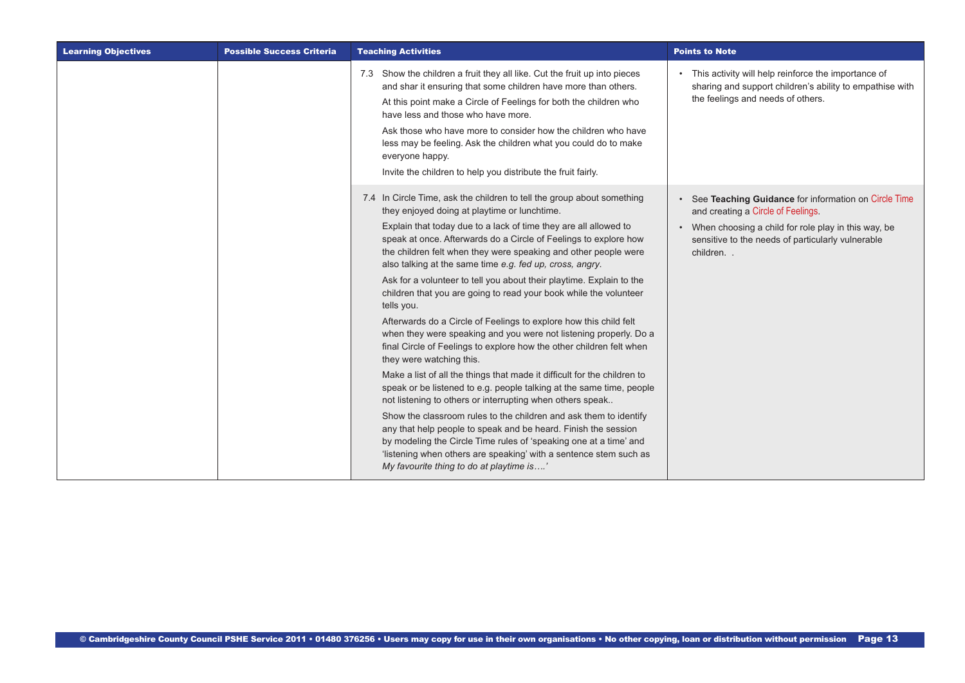| <b>Learning Objectives</b> | <b>Possible Success Criteria</b> | <b>Teaching Activities</b>                                                                                                                                                                                                                                                                                                                                                                                                                                                                                                                               | <b>Points to Note</b>                                                                                                                                                                                                 |
|----------------------------|----------------------------------|----------------------------------------------------------------------------------------------------------------------------------------------------------------------------------------------------------------------------------------------------------------------------------------------------------------------------------------------------------------------------------------------------------------------------------------------------------------------------------------------------------------------------------------------------------|-----------------------------------------------------------------------------------------------------------------------------------------------------------------------------------------------------------------------|
|                            |                                  | 7.3 Show the children a fruit they all like. Cut the fruit up into pieces<br>and shar it ensuring that some children have more than others.<br>At this point make a Circle of Feelings for both the children who<br>have less and those who have more.<br>Ask those who have more to consider how the children who have<br>less may be feeling. Ask the children what you could do to make<br>everyone happy.<br>Invite the children to help you distribute the fruit fairly.                                                                            | This activity will help reinforce the importance of<br>sharing and support children's ability to empathise with<br>the feelings and needs of others.                                                                  |
|                            |                                  | 7.4 In Circle Time, ask the children to tell the group about something<br>they enjoyed doing at playtime or lunchtime.<br>Explain that today due to a lack of time they are all allowed to<br>speak at once. Afterwards do a Circle of Feelings to explore how<br>the children felt when they were speaking and other people were<br>also talking at the same time e.g. fed up, cross, angry.<br>Ask for a volunteer to tell you about their playtime. Explain to the<br>children that you are going to read your book while the volunteer<br>tells you. | See Teaching Guidance for information on Circle Time<br>and creating a Circle of Feelings.<br>When choosing a child for role play in this way, be<br>sensitive to the needs of particularly vulnerable<br>children. . |
|                            |                                  | Afterwards do a Circle of Feelings to explore how this child felt<br>when they were speaking and you were not listening properly. Do a<br>final Circle of Feelings to explore how the other children felt when<br>they were watching this.<br>Make a list of all the things that made it difficult for the children to<br>speak or be listened to e.g. people talking at the same time, people<br>not listening to others or interrupting when others speak                                                                                              |                                                                                                                                                                                                                       |
|                            |                                  | Show the classroom rules to the children and ask them to identify<br>any that help people to speak and be heard. Finish the session<br>by modeling the Circle Time rules of 'speaking one at a time' and<br>'listening when others are speaking' with a sentence stem such as<br>My favourite thing to do at playtime is'                                                                                                                                                                                                                                |                                                                                                                                                                                                                       |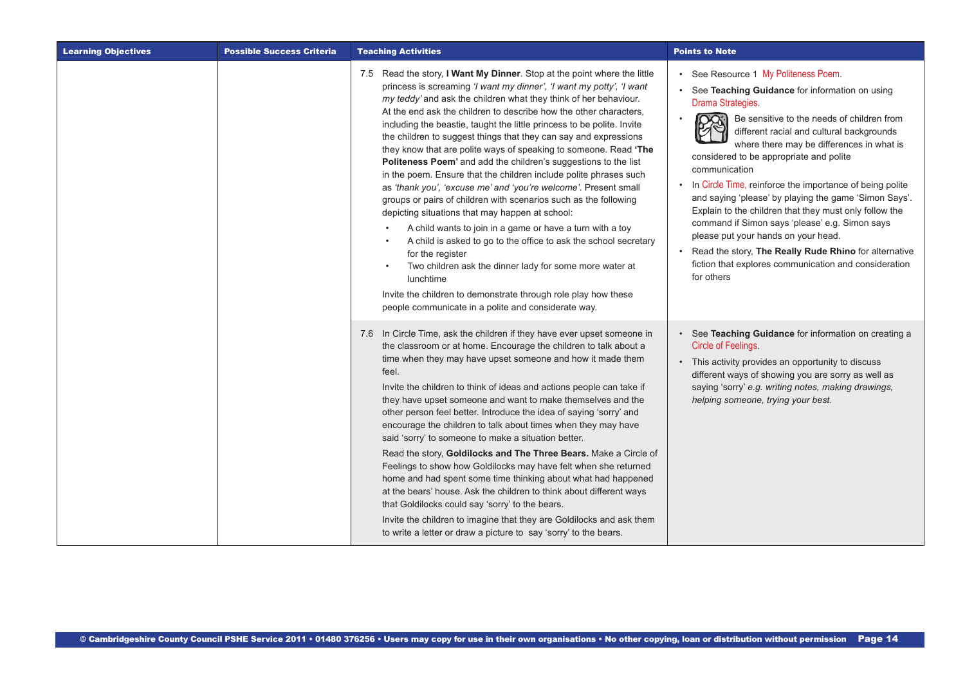<span id="page-13-0"></span>

| <b>Learning Objectives</b> | <b>Possible Success Criteria</b> | <b>Teaching Activities</b>                                                                                                                                                                                                                                                                                                                                                                                                                                                                                                                                                                                                                                                                                                                                                                                                                                                                                                                                                                                                                                                                                                                                                                                                                 | <b>Points to Note</b>                                                                                                                                                                                                                                                                                                                                                                                                                                                                                                                                                                                                                                                                                                                     |
|----------------------------|----------------------------------|--------------------------------------------------------------------------------------------------------------------------------------------------------------------------------------------------------------------------------------------------------------------------------------------------------------------------------------------------------------------------------------------------------------------------------------------------------------------------------------------------------------------------------------------------------------------------------------------------------------------------------------------------------------------------------------------------------------------------------------------------------------------------------------------------------------------------------------------------------------------------------------------------------------------------------------------------------------------------------------------------------------------------------------------------------------------------------------------------------------------------------------------------------------------------------------------------------------------------------------------|-------------------------------------------------------------------------------------------------------------------------------------------------------------------------------------------------------------------------------------------------------------------------------------------------------------------------------------------------------------------------------------------------------------------------------------------------------------------------------------------------------------------------------------------------------------------------------------------------------------------------------------------------------------------------------------------------------------------------------------------|
|                            |                                  | 7.5 Read the story, I Want My Dinner. Stop at the point where the little<br>princess is screaming 'I want my dinner', 'I want my potty', 'I want<br>my teddy' and ask the children what they think of her behaviour.<br>At the end ask the children to describe how the other characters,<br>including the beastie, taught the little princess to be polite. Invite<br>the children to suggest things that they can say and expressions<br>they know that are polite ways of speaking to someone. Read 'The<br>Politeness Poem' and add the children's suggestions to the list<br>in the poem. Ensure that the children include polite phrases such<br>as 'thank you', 'excuse me' and 'you're welcome'. Present small<br>groups or pairs of children with scenarios such as the following<br>depicting situations that may happen at school:<br>A child wants to join in a game or have a turn with a toy<br>$\bullet$<br>A child is asked to go to the office to ask the school secretary<br>$\bullet$<br>for the register<br>Two children ask the dinner lady for some more water at<br>$\bullet$<br>lunchtime<br>Invite the children to demonstrate through role play how these<br>people communicate in a polite and considerate way. | • See Resource 1 My Politeness Poem.<br>• See Teaching Guidance for information on using<br>Drama Strategies.<br>Be sensitive to the needs of children from<br><b>LOO</b><br>different racial and cultural backgrounds<br>where there may be differences in what is<br>considered to be appropriate and polite<br>communication<br>• In Circle Time, reinforce the importance of being polite<br>and saying 'please' by playing the game 'Simon Says'.<br>Explain to the children that they must only follow the<br>command if Simon says 'please' e.g. Simon says<br>please put your hands on your head.<br>Read the story, The Really Rude Rhino for alternative<br>fiction that explores communication and consideration<br>for others |
|                            |                                  | 7.6 In Circle Time, ask the children if they have ever upset someone in<br>the classroom or at home. Encourage the children to talk about a<br>time when they may have upset someone and how it made them<br>feel.<br>Invite the children to think of ideas and actions people can take if<br>they have upset someone and want to make themselves and the<br>other person feel better. Introduce the idea of saying 'sorry' and<br>encourage the children to talk about times when they may have<br>said 'sorry' to someone to make a situation better.<br>Read the story, Goldilocks and The Three Bears. Make a Circle of<br>Feelings to show how Goldilocks may have felt when she returned<br>home and had spent some time thinking about what had happened<br>at the bears' house. Ask the children to think about different ways<br>that Goldilocks could say 'sorry' to the bears.<br>Invite the children to imagine that they are Goldilocks and ask them<br>to write a letter or draw a picture to say 'sorry' to the bears.                                                                                                                                                                                                      | • See Teaching Guidance for information on creating a<br>Circle of Feelings.<br>• This activity provides an opportunity to discuss<br>different ways of showing you are sorry as well as<br>saying 'sorry' e.g. writing notes, making drawings,<br>helping someone, trying your best.                                                                                                                                                                                                                                                                                                                                                                                                                                                     |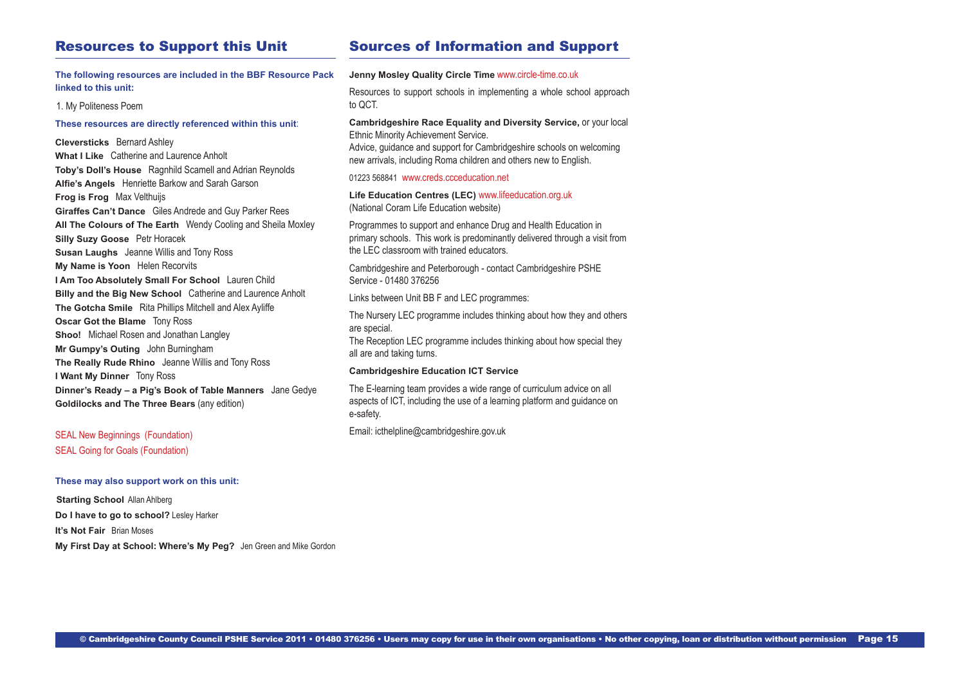#### Resources to Support this Unit

**The following resources are included in the BBF Resource Pack linked to this unit:**

#### 1. My Politeness Poem

#### **These resources are directly referenced within this unit**:

**Cleversticks** Bernard Ashley **What I Like** Catherine and Laurence Anholt **Toby's Doll's House** Ragnhild Scamell and Adrian Reynolds **Alfie's Angels** Henriette Barkow and Sarah Garson **Frog is Frog** Max Velthuijs **Giraffes Can't Dance** Giles Andrede and Guy Parker Rees **All The Colours of The Earth** Wendy Cooling and Sheila Moxley **Silly Suzy Goose** Petr Horacek **Susan Laughs** Jeanne Willis and Tony Ross **My Name is Yoon** Helen Recorvits **I Am Too Absolutely Small For School** Lauren Child **Billy and the Big New School** Catherine and Laurence Anholt **The Gotcha Smile** Rita Phillips Mitchell and Alex Ayliffe **Oscar Got the Blame** Tony Ross **Shoo!** Michael Rosen and Jonathan Langley **Mr Gumpy's Outing** John Burningham **The Really Rude Rhino** Jeanne Willis and Tony Ross **I Want My Dinner** Tony Ross **Dinner's Ready – a Pig's Book of Table Manners** Jane Gedye **Goldilocks and The Three Bears** (any edition)

[SEAL New Beginnings \(Foundation\)](http://www.j9solutions.co.uk/pshe/NDNewBeginningsFoundation.pdf) [SEAL Going for Goals \(Foundation\)](http://www.j9solutions.co.uk/pshe/NDGoingForGoalsFoundation.pdf)

#### **These may also support work on this unit:**

**Starting School** Allan Ahlberg **Do I have to go to school?** Lesley Harker **It's Not Fair** Brian Moses **My First Day at School: Where's My Peg?** Jen Green and Mike Gordon

#### Sources of Information and Support

#### **Jenny Mosley Quality Circle Time** [www.circle-time.co.uk](http://www.circle-time.co.uk)

Resources to support schools in implementing a whole school approach to QCT.

#### **Cambridgeshire Race Equality and Diversity Service,** or your local Ethnic Minority Achievement Service.

Advice, guidance and support for Cambridgeshire schools on welcoming new arrivals, including Roma children and others new to English.

#### 01223 568841 [www.creds.ccceducation.net](http://www.creds.ccceducation.net)

#### **Life Education Centres (LEC)** [www.lifeeducation.org.uk](http://www.lifeeducation.org.uk) (National Coram Life Education website)

Programmes to support and enhance Drug and Health Education in primary schools. This work is predominantly delivered through a visit from the LEC classroom with trained educators.

Cambridgeshire and Peterborough - contact Cambridgeshire PSHE Service - 01480 376256

Links between Unit BB F and LEC programmes:

The Nursery LEC programme includes thinking about how they and others are special.

The Reception LEC programme includes thinking about how special they all are and taking turns.

#### **Cambridgeshire Education ICT Service**

The E-learning team provides a wide range of curriculum advice on all aspects of ICT, including the use of a learning platform and guidance on e-safety.

Email: icthelpline@cambridgeshire.gov.uk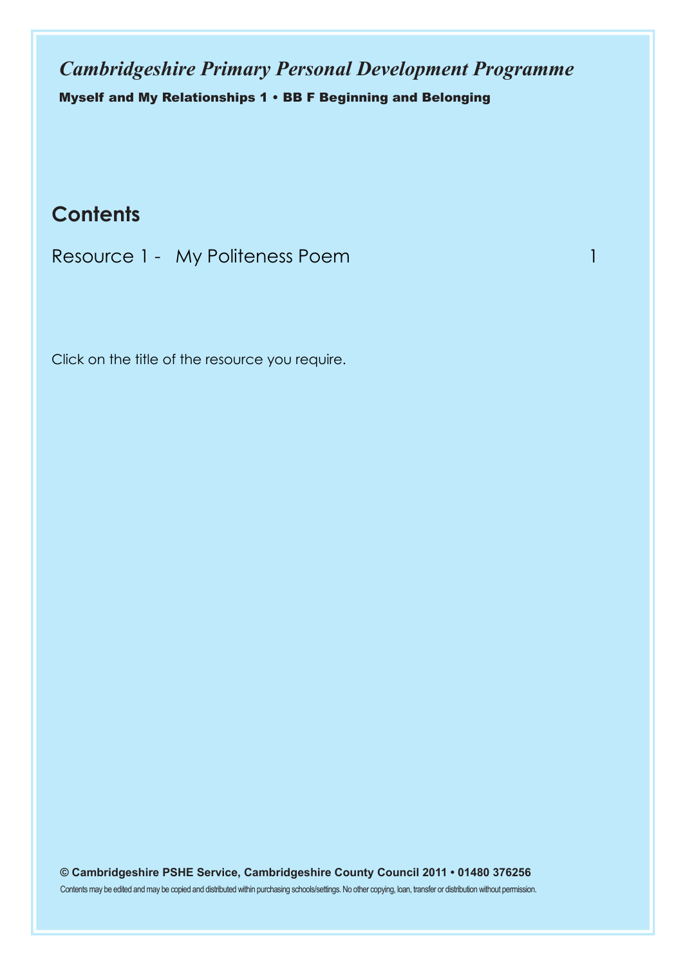*Cambridgeshire Primary Personal Development Programme* Myself and My Relationships 1 • BB F Beginning and Belonging

## **Contents**

[Resource 1 - My Politeness Poem 1](#page-16-0)

Click on the title of the resource you require.

**© Cambridgeshire PSHE Service, Cambridgeshire County Council 2011 • 01480 376256** Contents may be edited and may be copied and distributed within purchasing schools/settings. No other copying, loan, transfer or distribution without permission.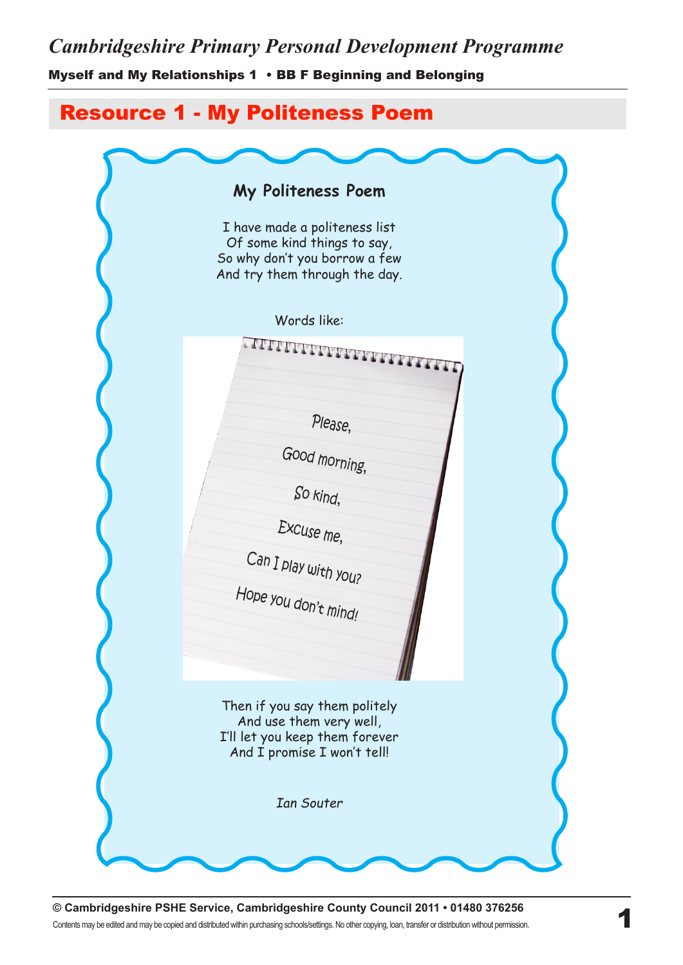## <span id="page-16-0"></span>*Cambridgeshire Primary Personal Development Programme*

### Myself and My Relationships 1 • BB F Beginning and Belonging

## [Resource 1 - My Politeness Poem](#page-13-0)

| My Politeness Poem                                                                                                             |
|--------------------------------------------------------------------------------------------------------------------------------|
| I have made a politeness list<br>Of some kind things to say,<br>So why don't you borrow a few<br>And try them through the day. |
| Words like:                                                                                                                    |
| <b>ALLII I I I I I I I I I</b>                                                                                                 |
| Please,                                                                                                                        |
| Good morning,                                                                                                                  |
| So kind,                                                                                                                       |
| Excuse me,                                                                                                                     |
| Can I play with you?                                                                                                           |
| Hope you don't mind!                                                                                                           |
| Then if you say them politely<br>And use them very well,<br>I'll let you keep them forever<br>And I promise I won't tell!      |
| <b>Tan Souter</b>                                                                                                              |